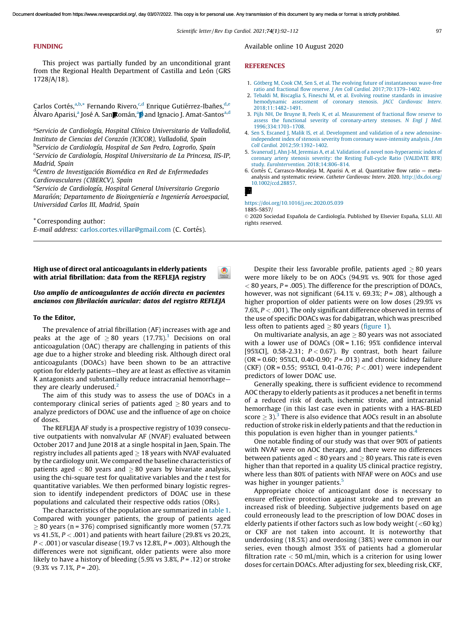### FUNDING

This project was partially funded by an unconditional grant from the Regional Health Department of Castilla and León (GRS 1728/A/18).

Carlos Cortés,<sup>a,b,\*</sup> Fernando Rivero,<sup>c,d</sup> Enrique Gutiérrez-Ibañes,<sup>d,e</sup> Álvaro Aparisi,ª José A. San**p**omán,ª**p** and Ignacio J. Amat-Santos<sup>a,d</sup>

<sup>a</sup>Servicio de Cardiología, Hospital Clínico Universitario de Valladolid, *Instituto de Ciencias del Corazo´n (ICICOR), Valladolid, Spain* <sup>b</sup>Servicio de Cardiología, Hospital de San Pedro, Logroño, Spain <sup>c</sup>Servicio de Cardiología, Hospital Universitario de La Princesa, IIS-IP, *Madrid, Spain*

<sup>d</sup>Centro de Investigación Biomédica en Red de Enfermedades *Cardiovasculares (CIBERCV), Spain*

eServicio de Cardiología, Hospital General Universitario Gregorio *Maran˜o´n; Departamento de Bioingenierı´a e Ingenierı´a Aeroespacial, Universidad Carlos III, Madrid, Spain*

\* Corresponding author: *E-mail address: [carlos.cortes.villar@gmail.com](mailto:carlos.cortes.villar@gmail.com) (C. Cortés).* 

High use of direct oral anticoagulants in elderly patients with atrial fibrillation: data from the REFLEJA registry

# Uso amplio de anticoagulantes de acción directa en pacientes ancianos con fibrilación auricular: datos del registro REFLEJA

### To the Editor,

The prevalence of atrial fibrillation (AF) increases with age and peaks at the age of  $\geq 80$  years ([1](#page-2-0)7.7%).<sup>1</sup> Decisions on oral anticoagulation (OAC) therapy are challenging in patients of this age due to a higher stroke and bleeding risk. Although direct oral anticoagulants (DOACs) have been shown to be an attractive option for elderly patients—they are at least as effective as vitamin K antagonists and substantially reduce intracranial hemorrhage they are clearly underused. $<sup>2</sup>$  $<sup>2</sup>$  $<sup>2</sup>$ </sup>

The aim of this study was to assess the use of DOACs in a contemporary clinical series of patients aged  $\geq 80$  years and to analyze predictors of DOAC use and the influence of age on choice of doses.

The REFLEJA AF study is a prospective registry of 1039 consecutive outpatients with nonvalvular AF (NVAF) evaluated between October 2017 and June 2018 at a single hospital in Jaen, Spain. The registry includes all patients aged  $> 18$  years with NVAF evaluated by the cardiology unit. We compared the baseline characteristics of patients aged  $< 80$  years and  $> 80$  years by bivariate analysis, using the chi-square test for qualitative variables and the *t* test for quantitative variables. We then performed binary logistic regression to identify independent predictors of DOAC use in these populations and calculated their respective odds ratios (ORs).

The characteristics of the population are summarized in table 1. Compared with younger patients, the group of patients aged  $\geq$  80 years (n = 376) comprised significantly more women (57.7%) vs 41.5%, *P* < .001) and patients with heart failure (29.8% vs 20.2%, *P* < .001) or vascular disease (19.7 vs 12.8%, *P* = .003). Although the differences were not significant, older patients were also more likely to have a history of bleeding (5.9% vs 3.8%, *P* = .12) or stroke (9.3% vs 7.1%, *P* = .20).

Available online 10 August 2020

### **REFERENCES**

- 1. Götberg M, Cook CM, Sen S, et al. The evolving future of instantaneous wave-free [ratio and fractional flow reserve.](http://refhub.elsevier.com/S1885-5857(20)30321-2/sbref0035) *J Am Coll Cardiol.* 2017;70:1379–1402.
- 2. [Tebaldi M, Biscaglia S, Fineschi M, et al. Evolving routine standards in invasive](http://refhub.elsevier.com/S1885-5857(20)30321-2/sbref0040) [hemodynamic assessment of coronary stenosis.](http://refhub.elsevier.com/S1885-5857(20)30321-2/sbref0040) *JACC Cardiovasc Interv.* [2018;11:1482–1491](http://refhub.elsevier.com/S1885-5857(20)30321-2/sbref0040).
- 3. [Pijls NH, De Bruyne B, Peels K, et al. Measurement of fractional flow reserve to](http://refhub.elsevier.com/S1885-5857(20)30321-2/sbref0045) [assess the functional severity of coronary-artery stenoses.](http://refhub.elsevier.com/S1885-5857(20)30321-2/sbref0045) *N Engl J Med.* [1996;334:1703–1708](http://refhub.elsevier.com/S1885-5857(20)30321-2/sbref0045).
- 4. [Sen S, Escaned J, Malik IS, et al. Development and validation of a new adenosine](http://refhub.elsevier.com/S1885-5857(20)30321-2/sbref0050)[independent index of stenosis severity from coronary wave-intensity analysis.](http://refhub.elsevier.com/S1885-5857(20)30321-2/sbref0050) *J Am Coll Cardiol.* [2012;59:1392–1402](http://refhub.elsevier.com/S1885-5857(20)30321-2/sbref0050).
- 5. [Svanerud J, Ahn J-M, Jeremias A, et al. Validation of a novel non-hyperaemic index of](http://refhub.elsevier.com/S1885-5857(20)30321-2/sbref0055) [coronary artery stenosis severity: the Resting Full-cycle Ratio \(VALIDATE RFR\)](http://refhub.elsevier.com/S1885-5857(20)30321-2/sbref0055) study. *EuroIntervention.* [2018;14:806–814.](http://refhub.elsevier.com/S1885-5857(20)30321-2/sbref0055)
- 6. Cortés C, Carrasco-Moraleja M, Aparisi A, et al. Quantitative flow ratio metaanalysis and systematic review. *Catheter Cardiovasc Interv.* 2020. [http://dx.doi.org/](http://dx.doi.org/10.1002/ccd.28857) [10.1002/ccd.28857.](http://dx.doi.org/10.1002/ccd.28857)



### <https://doi.org/10.1016/j.rec.2020.05.039>

1885-5857/

© 2020 Sociedad Española de Cardiología. Published by Elsevier España, S.L.U. All rights reserved.

Despite their less favorable profile, patients aged  $\geq 80$  years were more likely to be on AOCs (94.9% vs. 90% for those aged < 80 years, *P* = .005). The difference for the prescription of DOACs, however, was not significant (64.1% v. 69.3%; *P* = .08), although a higher proportion of older patients were on low doses (29.9% vs 7.6%, *P* < .001). The only significant difference observed in terms of the use of specific DOACs was for dabigatran, which was prescribed less often to patients aged  $\geq 80$  years (figure 1).

On multivariate analysis, an age  $\geq 80$  years was not associated with a lower use of DOACs (OR = 1.16; 95% confidence interval [95%CI], 0.58-2.31; *P* < 0.67). By contrast, both heart failure (OR = 0.60; 95%CI, 0.40-0.90; *P* = .013) and chronic kidney failure (CKF) (OR = 0.55; 95%CI, 0.41-0.76; *P* < .001) were independent predictors of lower DOAC use.

Generally speaking, there is sufficient evidence to recommend AOC therapy to elderly patients as it produces a net benefit in terms of a reduced risk of death, ischemic stroke, and intracranial hemorrhage (in this last case even in patients with a HAS-BLED score  $\geq$  [3](#page-2-0)).<sup>3</sup> There is also evidence that AOCs result in an absolute reduction of stroke risk in elderly patients and that the reduction in this population is even higher than in younger patients.<sup>[4](#page-2-0)</sup>

One notable finding of our study was that over 90% of patients with NVAF were on AOC therapy, and there were no differences between patients aged  $< 80$  years and  $\geq 80$  years. This rate is even higher than that reported in a quality US clinical practice registry, where less than 80% of patients with NFAF were on AOCs and use was higher in younger patients.<sup>[5](#page-2-0)</sup>

Appropriate choice of anticoagulant dose is necessary to ensure effective protection against stroke and to prevent an increased risk of bleeding. Subjective judgements based on age could erroneously lead to the prescription of low DOAC doses in elderly patients if other factors such as low body weight  $(<60 \text{ kg})$ or CKF are not taken into account. It is noteworthy that underdosing (18.5%) and overdosing (38%) were common in our series, even though almost 35% of patients had a glomerular filtration rate  $<$  50 mL/min, which is a criterion for using lower doses for certain DOACs. After adjusting for sex, bleeding risk, CKF,

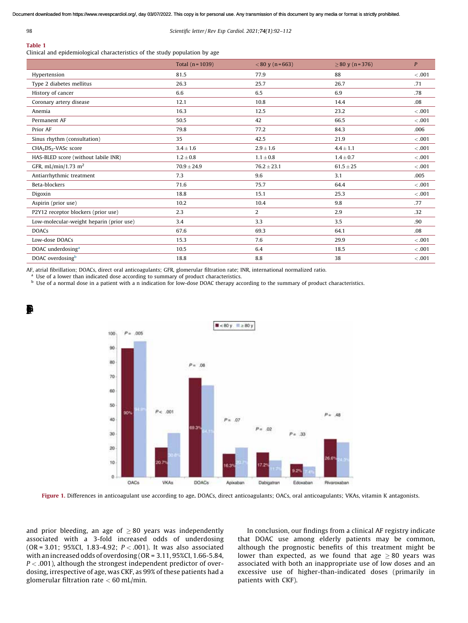$\blacksquare$ 

### 98 *Scientific letter / Rev Esp Cardiol. 2021;*74(1)*:92–112*

# Table 1

Clinical and epidemiological characteristics of the study population by age

|                                              | Total $(n = 1039)$ | $< 80$ y (n = 663) | $> 80 \text{ y} (n=376)$ | P       |
|----------------------------------------------|--------------------|--------------------|--------------------------|---------|
| Hypertension                                 | 81.5               | 77.9               | 88                       | < .001  |
| Type 2 diabetes mellitus                     | 26.3               | 25.7               | 26.7                     | .71     |
| History of cancer                            | 6.6                | 6.5                | 6.9                      | .78     |
| Coronary artery disease                      | 12.1               | 10.8               | 14.4                     | .08     |
| Anemia                                       | 16.3               | 12.5               | 23.2                     | < 0.001 |
| Permanent AF                                 | 50.5               | 42                 | 66.5                     | $-.001$ |
| Prior AF                                     | 79.8               | 77.2               | 84.3                     | .006    |
| Sinus rhythm (consultation)                  | 35                 | 42.5               | 21.9                     | < 0.001 |
| CHA <sub>2</sub> DS <sub>2</sub> -VASc score | $3.4 \pm 1.6$      | $2.9 \pm 1.6$      | $4.4 \pm 1.1$            | < 0.001 |
| HAS-BLED score (without labile INR)          | $1.2 \pm 0.8$      | $1.1\pm0.8$        | $1.4 \pm 0.7$            | < 0.001 |
| GFR, mL/min/1.73 m <sup>2</sup>              | $70.9 \pm 24.9$    | $76.2 \pm 23.1$    | $61.5 \pm 25$            | < 0.001 |
| Antiarrhythmic treatment                     | 7.3                | 9.6                | 3.1                      | .005    |
| Beta-blockers                                | 71.6               | 75.7               | 64.4                     | < 0.001 |
| Digoxin                                      | 18.8               | 15.1               | 25.3                     | < 0.001 |
| Aspirin (prior use)                          | 10.2               | 10.4               | 9.8                      | .77     |
| P2Y12 receptor blockers (prior use)          | 2.3                | 2                  | 2.9                      | .32     |
| Low-molecular-weight heparin (prior use)     | 3.4                | 3.3                | 3.5                      | .90     |
| <b>DOACs</b>                                 | 67.6               | 69.3               | 64.1                     | .08     |
| Low-dose DOACs                               | 15.3               | 7.6                | 29.9                     | < .001  |
| DOAC underdosing <sup>a</sup>                | 10.5               | 6.4                | 18.5                     | < 0.001 |
| DOAC overdosing <sup>b</sup>                 | 18.8               | 8.8                | 38                       | < 0.001 |

AF, atrial fibrillation; DOACs, direct oral anticoagulants; GFR, glomerular filtration rate; INR, international normalized ratio.

<sup>a</sup> Use of a lower than indicated dose according to summary of product characteristics.

**b** Use of a normal dose in a patient with a n indication for low-dose DOAC therapy according to the summary of product characteristics.



Figure 1. Differences in anticoagulant use according to age. DOACs, direct anticoagulants; OACs, oral anticoagulants; VKAs, vitamin K antagonists.

and prior bleeding, an age of  $\geq 80$  years was independently associated with a 3-fold increased odds of underdosing (OR = 3.01; 95%CI, 1.83-4.92; *P* < .001). It was also associated with an increased odds of overdosing (OR = 3.11, 95%CI, 1.66-5.84, *P* < .001), although the strongest independent predictor of overdosing, irrespective of age, was CKF, as 99% of these patients had a glomerular filtration rate  $<$  60 mL/min.

In conclusion, our findings from a clinical AF registry indicate that DOAC use among elderly patients may be common, although the prognostic benefits of this treatment might be lower than expected, as we found that age  $\geq 80$  years was associated with both an inappropriate use of low doses and an excessive use of higher-than-indicated doses (primarily in patients with CKF).